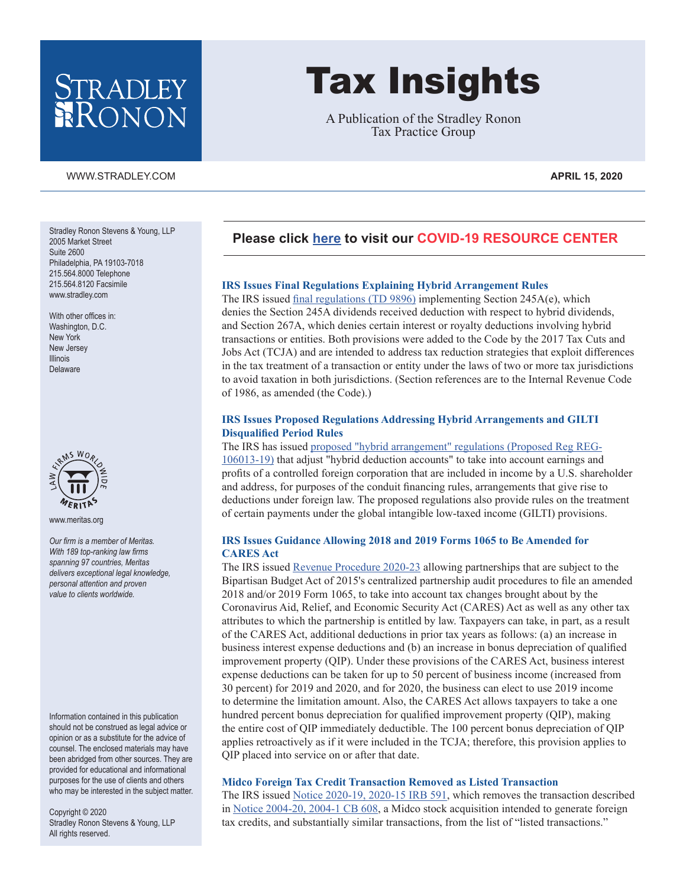# STRADLEY<br>RONON

### WWW.STRADLEY.COM **APRIL 15, 2020**

Tax Insights

A Publication of the Stradley Ronon Tax Practice Group

# **Please click [here](https://www.stradley.com/insights/publications/covid19-resource-center) to visit our [COVID-19 RESOURCE CENTER](https://www.stradley.com/insights/publications/covid19-resource-center)**

### **IRS Issues Final Regulations Explaining Hybrid Arrangement Rules**

The IRS issued [final regulations \(TD 9896\)](https://www.federalregister.gov/documents/2020/04/08/2020-05924/rules-regarding-certain-hybrid-arrangements) implementing Section 245A(e), which denies the Section 245A dividends received deduction with respect to hybrid dividends, and Section 267A, which denies certain interest or royalty deductions involving hybrid transactions or entities. Both provisions were added to the Code by the 2017 Tax Cuts and Jobs Act (TCJA) and are intended to address tax reduction strategies that exploit differences in the tax treatment of a transaction or entity under the laws of two or more tax jurisdictions to avoid taxation in both jurisdictions. (Section references are to the Internal Revenue Code of 1986, as amended (the Code).)

### **IRS Issues Proposed Regulations Addressing Hybrid Arrangements and GILTI Disqualified Period Rules**

### The IRS has issued [proposed "hybrid arrangement" regulations \(Proposed Reg REG-](https://www.govinfo.gov/content/pkg/FR-2020-04-08/pdf/2020-05923.pdf)

[106013-19\)](https://www.govinfo.gov/content/pkg/FR-2020-04-08/pdf/2020-05923.pdf) that adjust "hybrid deduction accounts" to take into account earnings and profits of a controlled foreign corporation that are included in income by a U.S. shareholder and address, for purposes of the conduit financing rules, arrangements that give rise to deductions under foreign law. The proposed regulations also provide rules on the treatment of certain payments under the global intangible low-taxed income (GILTI) provisions.

### **IRS Issues Guidance Allowing 2018 and 2019 Forms 1065 to Be Amended for CARES Act**

The IRS issued [Revenue Procedure 2020-23](https://www.irs.gov/pub/irs-drop/rp-20-23.pdf) allowing partnerships that are subject to the Bipartisan Budget Act of 2015's centralized partnership audit procedures to file an amended 2018 and/or 2019 Form 1065, to take into account tax changes brought about by the Coronavirus Aid, Relief, and Economic Security Act (CARES) Act as well as any other tax attributes to which the partnership is entitled by law. Taxpayers can take, in part, as a result of the CARES Act, additional deductions in prior tax years as follows: (a) an increase in business interest expense deductions and (b) an increase in bonus depreciation of qualified improvement property (QIP). Under these provisions of the CARES Act, business interest expense deductions can be taken for up to 50 percent of business income (increased from 30 percent) for 2019 and 2020, and for 2020, the business can elect to use 2019 income to determine the limitation amount. Also, the CARES Act allows taxpayers to take a one hundred percent bonus depreciation for qualified improvement property (QIP), making the entire cost of QIP immediately deductible. The 100 percent bonus depreciation of QIP applies retroactively as if it were included in the TCJA; therefore, this provision applies to QIP placed into service on or after that date.

### **Midco Foreign Tax Credit Transaction Removed as Listed Transaction**

The IRS issued [Notice 2020-19, 2020-15 IRB 591](https://www.irs.gov/irb/2020-15_IRB#NOT-2020-19), which removes the transaction described in [Notice 2004-20, 2004-1 CB 608](https://www.irs.gov/pub/irs-utl/n-2004-20.pdf), a Midco stock acquisition intended to generate foreign tax credits, and substantially similar transactions, from the list of "listed transactions."

Stradley Ronon Stevens & Young, LLP 2005 Market Street Suite 2600 Philadelphia, PA 19103-7018 215.564.8000 Telephone 215.564.8120 Facsimile www.stradley.com

With other offices in: Washington, D.C. New York New Jersey Illinois Delaware



www.meritas.org

*Our firm is a member of Meritas. With 189 top-ranking law firms spanning 97 countries, Meritas delivers exceptional legal knowledge, personal attention and proven value to clients worldwide.*

Information contained in this publication should not be construed as legal advice or opinion or as a substitute for the advice of counsel. The enclosed materials may have been abridged from other sources. They are provided for educational and informational purposes for the use of clients and others who may be interested in the subject matter.

Copyright © 2020 Stradley Ronon Stevens & Young, LLP All rights reserved.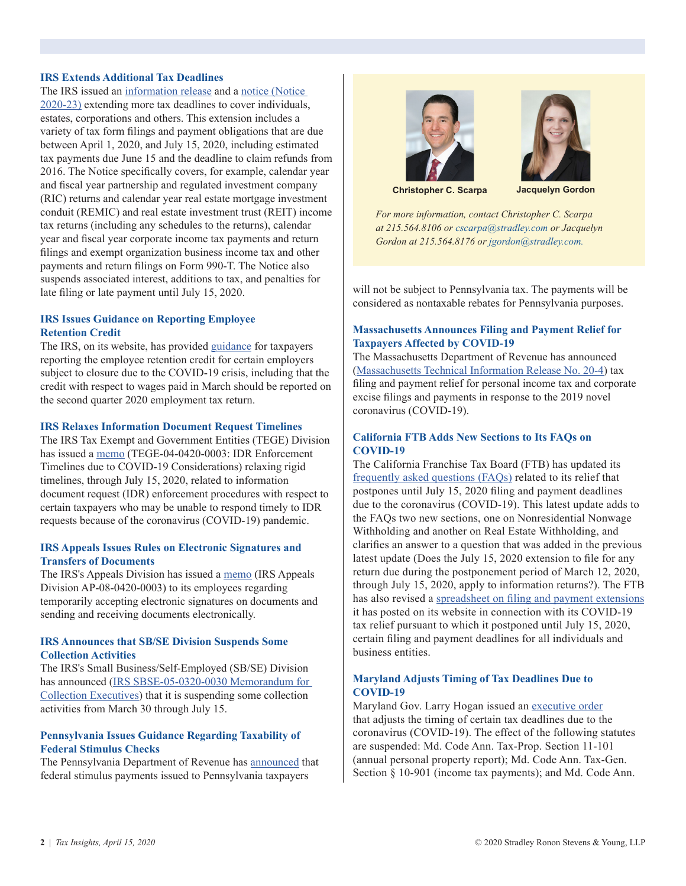# **IRS Extends Additional Tax Deadlines**

The IRS issued an [information release](https://www.irs.gov/newsroom/irs-extends-more-tax-deadlines-to-cover-individuals-trusts-estates-corporations-and-others) and a [notice \(Notice](https://www.irs.gov/pub/irs-drop/n-20-23.pdf)  [2020-23\)](https://www.irs.gov/pub/irs-drop/n-20-23.pdf) extending more tax deadlines to cover individuals, estates, corporations and others. This extension includes a variety of tax form filings and payment obligations that are due between April 1, 2020, and July 15, 2020, including estimated tax payments due June 15 and the deadline to claim refunds from 2016. The Notice specifically covers, for example, calendar year and fiscal year partnership and regulated investment company (RIC) returns and calendar year real estate mortgage investment conduit (REMIC) and real estate investment trust (REIT) income tax returns (including any schedules to the returns), calendar year and fiscal year corporate income tax payments and return filings and exempt organization business income tax and other payments and return filings on Form 990-T. The Notice also suspends associated interest, additions to tax, and penalties for late filing or late payment until July 15, 2020.

# **IRS Issues Guidance on Reporting Employee Retention Credit**

The IRS, on its website, has provided [guidance](https://www.irs.gov/forms-pubs/employee-retention-credit-for-employers-subject-to-closure-due-to-covid-19-crisis) for taxpayers reporting the employee retention credit for certain employers subject to closure due to the COVID-19 crisis, including that the credit with respect to wages paid in March should be reported on the second quarter 2020 employment tax return.

### **IRS Relaxes Information Document Request Timelines**

The IRS Tax Exempt and Government Entities (TEGE) Division has issued a [memo](https://www.stradley.com/-/media/images/2020/april/irsmemoidrenforcementtimelinescovid19.pdf?la=en&hash=8636F1EA9397BC0C23B320E6D317C409) (TEGE-04-0420-0003: IDR Enforcement Timelines due to COVID-19 Considerations) relaxing rigid timelines, through July 15, 2020, related to information document request (IDR) enforcement procedures with respect to certain taxpayers who may be unable to respond timely to IDR requests because of the coronavirus (COVID-19) pandemic.

# **IRS Appeals Issues Rules on Electronic Signatures and Transfers of Documents**

The IRS's Appeals Division has issued a [memo](https://www.irs.gov/pub/foia/ig/appeals/ap-08-0420-0003.pdf) (IRS Appeals Division AP-08-0420-0003) to its employees regarding temporarily accepting electronic signatures on documents and sending and receiving documents electronically.

### **IRS Announces that SB/SE Division Suspends Some Collection Activities**

The IRS's Small Business/Self-Employed (SB/SE) Division has announced ([IRS SBSE-05-0320-0030 Memorandum for](https://www.irs.gov/pub/foia/ig/wi/sbse-05-0320-0030.pdf)  [Collection Executives](https://www.irs.gov/pub/foia/ig/wi/sbse-05-0320-0030.pdf)) that it is suspending some collection activities from March 30 through July 15.

# **Pennsylvania Issues Guidance Regarding Taxability of Federal Stimulus Checks**

The Pennsylvania Department of Revenue has [announced](https://revenue-pa.custhelp.com/app/answers/detail/a_id/3743/kw/Federal%20economic%20stimulus%20check/session/L3RpbWUvMTU4Njc5MDMyMS9zaWQvZEVtSippR28%3D) that federal stimulus payments issued to Pennsylvania taxpayers





**Christopher C. Scarpa Jacquelyn Gordon**

*For more information, contact Christopher C. Scarpa at 215.564.8106 or [cscarpa@stradley.com](mailto:cscarpa%40stradley.com?subject=) or Jacquelyn Gordon at 215.564.8176 or [jgordon@stradley.com.](mailto:jgordon%40stradley.com?subject=)*

will not be subject to Pennsylvania tax. The payments will be considered as nontaxable rebates for Pennsylvania purposes.

### **Massachusetts Announces Filing and Payment Relief for Taxpayers Affected by COVID-19**

The Massachusetts Department of Revenue has announced [\(Massachusetts Technical Information Release No. 20-4](https://www.mass.gov/technical-information-release/tir-20-4-tax-filing-and-payment-relief-for-personal-income-and)) tax filing and payment relief for personal income tax and corporate excise filings and payments in response to the 2019 novel coronavirus (COVID-19).

# **California FTB Adds New Sections to Its FAQs on COVID-19**

The California Franchise Tax Board (FTB) has updated its [frequently asked questions \(FAQs\)](https://www.ftb.ca.gov/about-ftb/newsroom/covid-19/help-with-covid-19.html) related to its relief that postpones until July 15, 2020 filing and payment deadlines due to the coronavirus (COVID-19). This latest update adds to the FAQs two new sections, one on Nonresidential Nonwage Withholding and another on Real Estate Withholding, and clarifies an answer to a question that was added in the previous latest update (Does the July 15, 2020 extension to file for any return due during the postponement period of March 12, 2020, through July 15, 2020, apply to information returns?). The FTB has also revised a [spreadsheet on filing and payment extensions](https://www.ftb.ca.gov/about-ftb/newsroom/covid-19/extensions-to-file-pay.html) it has posted on its website in connection with its COVID-19 tax relief pursuant to which it postponed until July 15, 2020, certain filing and payment deadlines for all individuals and business entities.

# **Maryland Adjusts Timing of Tax Deadlines Due to COVID-19**

Maryland Gov. Larry Hogan issued an [executive order](https://governor.maryland.gov/wp-content/uploads/2020/03/Extension-of-Tax-and-Oath-Timelines-3.31.20.pdf) that adjusts the timing of certain tax deadlines due to the coronavirus (COVID-19). The effect of the following statutes are suspended: Md. Code Ann. Tax-Prop. Section 11-101 (annual personal property report); Md. Code Ann. Tax-Gen. Section § 10-901 (income tax payments); and Md. Code Ann.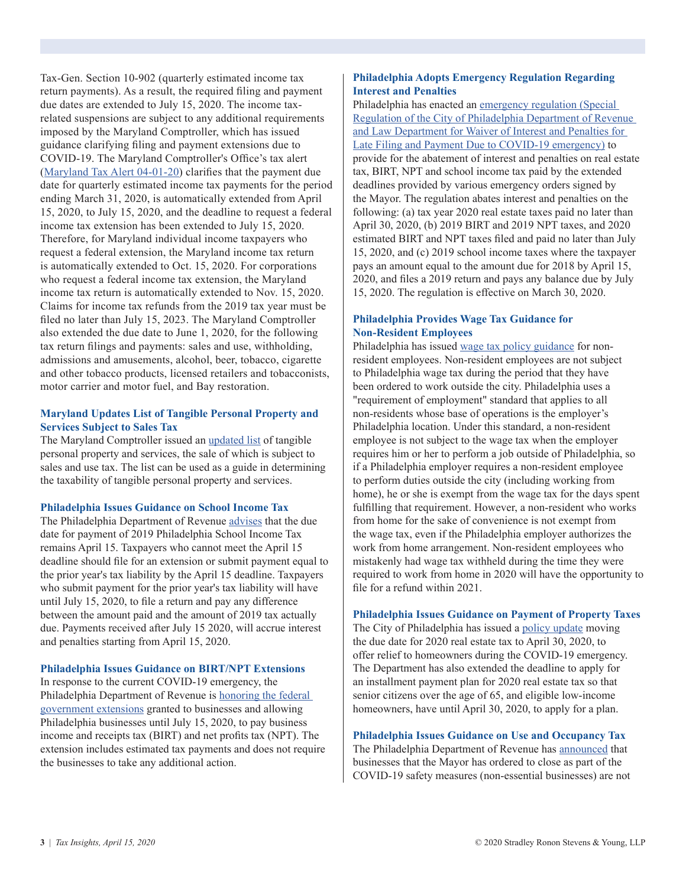Tax-Gen. Section 10-902 (quarterly estimated income tax return payments). As a result, the required filing and payment due dates are extended to July 15, 2020. The income taxrelated suspensions are subject to any additional requirements imposed by the Maryland Comptroller, which has issued guidance clarifying filing and payment extensions due to COVID-19. The Maryland Comptroller's Office's tax alert [\(Maryland Tax Alert 04-01-20\)](https://www.marylandtaxes.gov/schedule/pdf/COVID-19_Tax_Alert.pdf) clarifies that the payment due date for quarterly estimated income tax payments for the period ending March 31, 2020, is automatically extended from April 15, 2020, to July 15, 2020, and the deadline to request a federal income tax extension has been extended to July 15, 2020. Therefore, for Maryland individual income taxpayers who request a federal extension, the Maryland income tax return is automatically extended to Oct. 15, 2020. For corporations who request a federal income tax extension, the Maryland income tax return is automatically extended to Nov. 15, 2020. Claims for income tax refunds from the 2019 tax year must be filed no later than July 15, 2023. The Maryland Comptroller also extended the due date to June 1, 2020, for the following tax return filings and payments: sales and use, withholding, admissions and amusements, alcohol, beer, tobacco, cigarette and other tobacco products, licensed retailers and tobacconists, motor carrier and motor fuel, and Bay restoration.

# **Maryland Updates List of Tangible Personal Property and Services Subject to Sales Tax**

The Maryland Comptroller issued an [updated list](http://www.comp.state.md.us/forms/Tax_Publications/Sales_and_Use_Tax%20-List_of_TPP_and_Services.pdf) of tangible personal property and services, the sale of which is subject to sales and use tax. The list can be used as a guide in determining the taxability of tangible personal property and services.

### **Philadelphia Issues Guidance on School Income Tax**

The Philadelphia Department of Revenue [advises](https://www.phila.gov/documents/coronavirus-tax-guidance/) that the due date for payment of 2019 Philadelphia School Income Tax remains April 15. Taxpayers who cannot meet the April 15 deadline should file for an extension or submit payment equal to the prior year's tax liability by the April 15 deadline. Taxpayers who submit payment for the prior year's tax liability will have until July 15, 2020, to file a return and pay any difference between the amount paid and the amount of 2019 tax actually due. Payments received after July 15 2020, will accrue interest and penalties starting from April 15, 2020.

# **Philadelphia Issues Guidance on BIRT/NPT Extensions**

In response to the current COVID-19 emergency, the Philadelphia Department of Revenue is [honoring the federal](https://www.phila.gov/documents/coronavirus-tax-guidance/)  [government extensions](https://www.phila.gov/documents/coronavirus-tax-guidance/) granted to businesses and allowing Philadelphia businesses until July 15, 2020, to pay business income and receipts tax (BIRT) and net profits tax (NPT). The extension includes estimated tax payments and does not require the businesses to take any additional action.

# **Philadelphia Adopts Emergency Regulation Regarding Interest and Penalties**

Philadelphia has enacted an [emergency regulation \(Special](http://regulations.phila-records.com/pdfs/Signed%20Reg%20-%20Law-Revenue%20-%20COVID%2019.pdf)  [Regulation of the City of Philadelphia Department of Revenue](http://regulations.phila-records.com/pdfs/Signed%20Reg%20-%20Law-Revenue%20-%20COVID%2019.pdf)  [and Law Department for Waiver of Interest and Penalties for](http://regulations.phila-records.com/pdfs/Signed%20Reg%20-%20Law-Revenue%20-%20COVID%2019.pdf)  [Late Filing and Payment Due to COVID-19 emergency\)](http://regulations.phila-records.com/pdfs/Signed%20Reg%20-%20Law-Revenue%20-%20COVID%2019.pdf) to provide for the abatement of interest and penalties on real estate tax, BIRT, NPT and school income tax paid by the extended deadlines provided by various emergency orders signed by the Mayor. The regulation abates interest and penalties on the following: (a) tax year 2020 real estate taxes paid no later than April 30, 2020, (b) 2019 BIRT and 2019 NPT taxes, and 2020 estimated BIRT and NPT taxes filed and paid no later than July 15, 2020, and (c) 2019 school income taxes where the taxpayer pays an amount equal to the amount due for 2018 by April 15, 2020, and files a 2019 return and pays any balance due by July 15, 2020. The regulation is effective on March 30, 2020.

# **Philadelphia Provides Wage Tax Guidance for Non-Resident Employees**

Philadelphia has issued [wage tax policy guidance](https://www.phila.gov/documents/coronavirus-tax-guidance/) for nonresident employees. Non-resident employees are not subject to Philadelphia wage tax during the period that they have been ordered to work outside the city. Philadelphia uses a "requirement of employment" standard that applies to all non-residents whose base of operations is the employer's Philadelphia location. Under this standard, a non-resident employee is not subject to the wage tax when the employer requires him or her to perform a job outside of Philadelphia, so if a Philadelphia employer requires a non-resident employee to perform duties outside the city (including working from home), he or she is exempt from the wage tax for the days spent fulfilling that requirement. However, a non-resident who works from home for the sake of convenience is not exempt from the wage tax, even if the Philadelphia employer authorizes the work from home arrangement. Non-resident employees who mistakenly had wage tax withheld during the time they were required to work from home in 2020 will have the opportunity to file for a refund within 2021.

# **Philadelphia Issues Guidance on Payment of Property Taxes**

The City of Philadelphia has issued a [policy update](https://www.phila.gov/media/20200324115830/2020-Real-Estate-Tax-policy-update-coronavirus-032420.pdf) moving the due date for 2020 real estate tax to April 30, 2020, to offer relief to homeowners during the COVID-19 emergency. The Department has also extended the deadline to apply for an installment payment plan for 2020 real estate tax so that senior citizens over the age of 65, and eligible low-income homeowners, have until April 30, 2020, to apply for a plan.

# **Philadelphia Issues Guidance on Use and Occupancy Tax**

The Philadelphia Department of Revenue has [announced](https://www.phila.gov/media/20200409153648/Use-and-Occupancy-UO-Tax-covid-guidance-040920.pdf) that businesses that the Mayor has ordered to close as part of the COVID-19 safety measures (non-essential businesses) are not